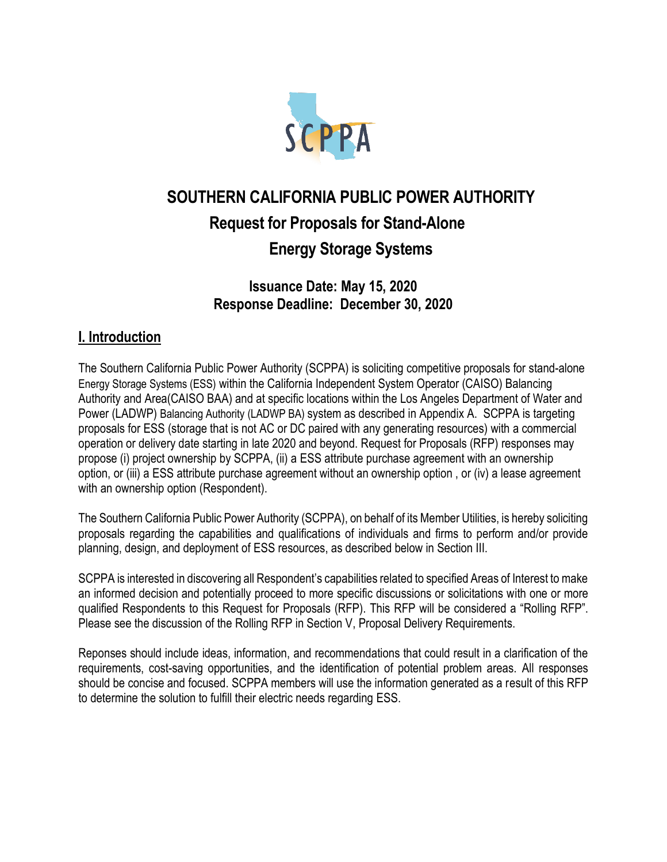

# **SOUTHERN CALIFORNIA PUBLIC POWER AUTHORITY Request for Proposals for Stand-Alone Energy Storage Systems**

## **Issuance Date: May 15, 2020 Response Deadline: December 30, 2020**

# **I. Introduction**

The Southern California Public Power Authority (SCPPA) is soliciting competitive proposals for stand-alone Energy Storage Systems (ESS) within the California Independent System Operator (CAISO) Balancing Authority and Area(CAISO BAA) and at specific locations within the Los Angeles Department of Water and Power (LADWP) Balancing Authority (LADWP BA) system as described in Appendix A. SCPPA is targeting proposals for ESS (storage that is not AC or DC paired with any generating resources) with a commercial operation or delivery date starting in late 2020 and beyond. Request for Proposals (RFP) responses may propose (i) project ownership by SCPPA, (ii) a ESS attribute purchase agreement with an ownership option, or (iii) a ESS attribute purchase agreement without an ownership option , or (iv) a lease agreement with an ownership option (Respondent).

The Southern California Public Power Authority (SCPPA), on behalf of its Member Utilities, is hereby soliciting proposals regarding the capabilities and qualifications of individuals and firms to perform and/or provide planning, design, and deployment of ESS resources, as described below in Section III.

SCPPA is interested in discovering all Respondent's capabilities related to specified Areas of Interest to make an informed decision and potentially proceed to more specific discussions or solicitations with one or more qualified Respondents to this Request for Proposals (RFP). This RFP will be considered a "Rolling RFP". Please see the discussion of the Rolling RFP in Section V, Proposal Delivery Requirements.

Reponses should include ideas, information, and recommendations that could result in a clarification of the requirements, cost-saving opportunities, and the identification of potential problem areas. All responses should be concise and focused. SCPPA members will use the information generated as a result of this RFP to determine the solution to fulfill their electric needs regarding ESS.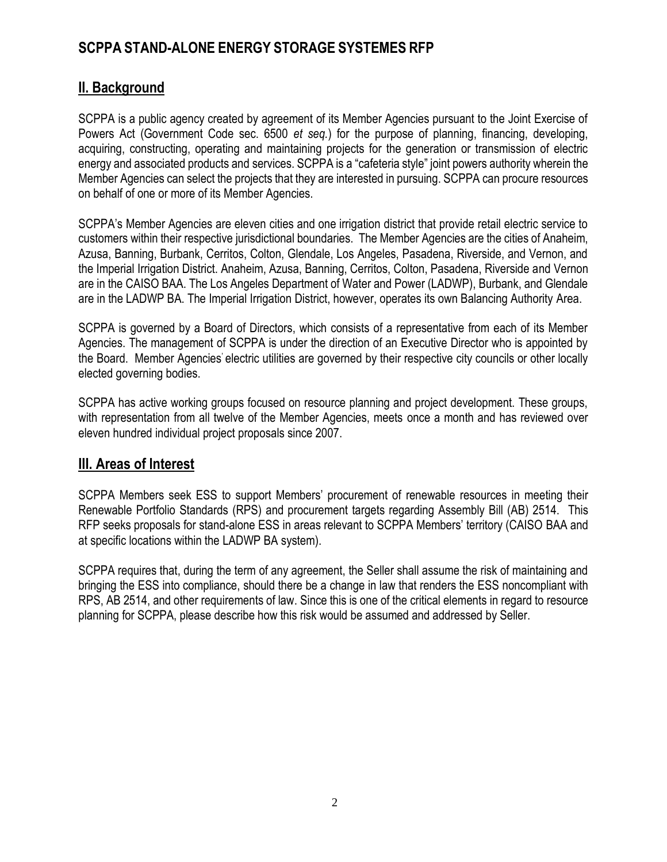#### **II. Background**

SCPPA is a public agency created by agreement of its Member Agencies pursuant to the Joint Exercise of Powers Act (Government Code sec. 6500 *et seq.*) for the purpose of planning, financing, developing, acquiring, constructing, operating and maintaining projects for the generation or transmission of electric energy and associated products and services. SCPPA is a "cafeteria style" joint powers authority wherein the Member Agencies can select the projects that they are interested in pursuing. SCPPA can procure resources on behalf of one or more of its Member Agencies.

SCPPA's Member Agencies are eleven cities and one irrigation district that provide retail electric service to customers within their respective jurisdictional boundaries. The Member Agencies are the cities of Anaheim, Azusa, Banning, Burbank, Cerritos, Colton, Glendale, Los Angeles, Pasadena, Riverside, and Vernon, and the Imperial Irrigation District. Anaheim, Azusa, Banning, Cerritos, Colton, Pasadena, Riverside and Vernon are in the CAISO BAA. The Los Angeles Department of Water and Power (LADWP), Burbank, and Glendale are in the LADWP BA. The Imperial Irrigation District, however, operates its own Balancing Authority Area.

SCPPA is governed by a Board of Directors, which consists of a representative from each of its Member Agencies. The management of SCPPA is under the direction of an Executive Director who is appointed by the Board. Member Agencies' electric utilities are governed by their respective city councils or other locally elected governing bodies.

SCPPA has active working groups focused on resource planning and project development. These groups, with representation from all twelve of the Member Agencies, meets once a month and has reviewed over eleven hundred individual project proposals since 2007.

#### **III. Areas of Interest**

SCPPA Members seek ESS to support Members' procurement of renewable resources in meeting their Renewable Portfolio Standards (RPS) and procurement targets regarding Assembly Bill (AB) 2514. This RFP seeks proposals for stand-alone ESS in areas relevant to SCPPA Members' territory (CAISO BAA and at specific locations within the LADWP BA system).

SCPPA requires that, during the term of any agreement, the Seller shall assume the risk of maintaining and bringing the ESS into compliance, should there be a change in law that renders the ESS noncompliant with RPS, AB 2514, and other requirements of law. Since this is one of the critical elements in regard to resource planning for SCPPA, please describe how this risk would be assumed and addressed by Seller.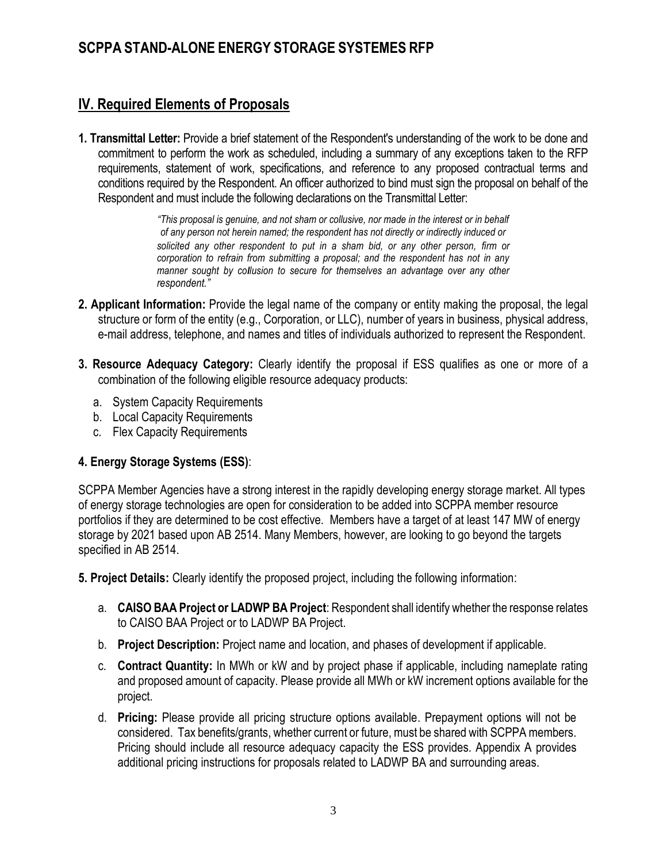### **IV. Required Elements of Proposals**

**1. Transmittal Letter:** Provide a brief statement of the Respondent's understanding of the work to be done and commitment to perform the work as scheduled, including a summary of any exceptions taken to the RFP requirements, statement of work, specifications, and reference to any proposed contractual terms and conditions required by the Respondent. An officer authorized to bind must sign the proposal on behalf of the Respondent and must include the following declarations on the Transmittal Letter:

> *"This proposal is genuine, and not sham or collusive, nor made in the interest or in behalf of any person not herein named; the respondent has not directly or indirectly induced or solicited any other respondent to put in a sham bid, or any other person, firm or corporation to refrain from submitting a proposal; and the respondent has not in any manner sought by collusion to secure for themselves an advantage over any other respondent."*

- **2. Applicant Information:** Provide the legal name of the company or entity making the proposal, the legal structure or form of the entity (e.g., Corporation, or LLC), number of years in business, physical address, e-mail address, telephone, and names and titles of individuals authorized to represent the Respondent.
- **3. Resource Adequacy Category:** Clearly identify the proposal if ESS qualifies as one or more of a combination of the following eligible resource adequacy products:
	- a. System Capacity Requirements
	- b. Local Capacity Requirements
	- c. Flex Capacity Requirements

#### **4. Energy Storage Systems (ESS)**:

SCPPA Member Agencies have a strong interest in the rapidly developing energy storage market. All types of energy storage technologies are open for consideration to be added into SCPPA member resource portfolios if they are determined to be cost effective. Members have a target of at least 147 MW of energy storage by 2021 based upon AB 2514. Many Members, however, are looking to go beyond the targets specified in AB 2514.

**5. Project Details:** Clearly identify the proposed project, including the following information:

- a. **CAISO BAA Project or LADWP BA Project**: Respondent shall identify whether the response relates to CAISO BAA Project or to LADWP BA Project.
- b. **Project Description:** Project name and location, and phases of development if applicable.
- c. **Contract Quantity:** In MWh or kW and by project phase if applicable, including nameplate rating and proposed amount of capacity. Please provide all MWh or kW increment options available for the project.
- d. **Pricing:** Please provide all pricing structure options available. Prepayment options will not be considered. Tax benefits/grants, whether current or future, must be shared with SCPPA members. Pricing should include all resource adequacy capacity the ESS provides. Appendix A provides additional pricing instructions for proposals related to LADWP BA and surrounding areas.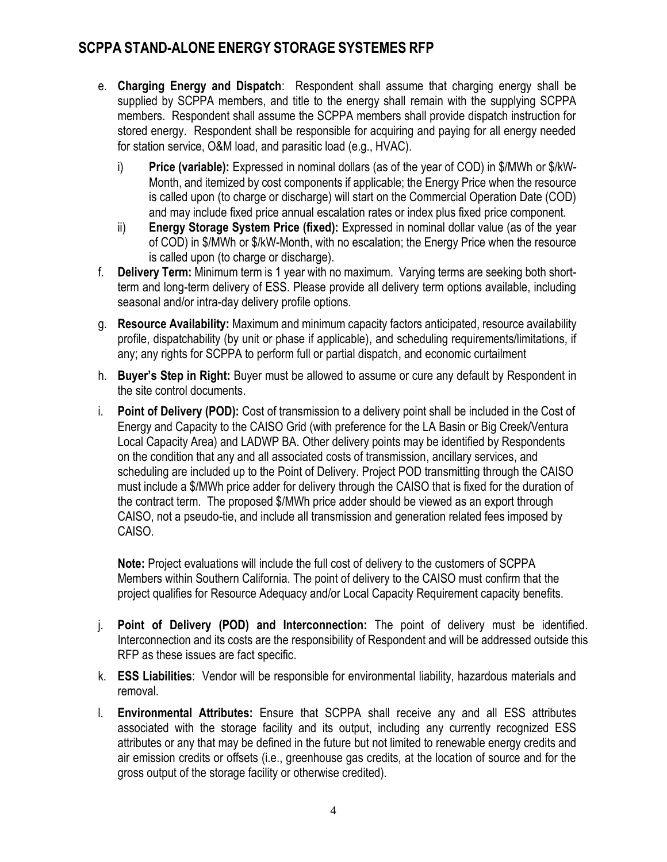- e. **Charging Energy and Dispatch**: Respondent shall assume that charging energy shall be supplied by SCPPA members, and title to the energy shall remain with the supplying SCPPA members. Respondent shall assume the SCPPA members shall provide dispatch instruction for stored energy. Respondent shall be responsible for acquiring and paying for all energy needed for station service, O&M load, and parasitic load (e.g., HVAC).
	- i) **Price (variable):** Expressed in nominal dollars (as of the year of COD) in \$/MWh or \$/kW-Month, and itemized by cost components if applicable; the Energy Price when the resource is called upon (to charge or discharge) will start on the Commercial Operation Date (COD) and may include fixed price annual escalation rates or index plus fixed price component.
	- ii) **Energy Storage System Price (fixed):** Expressed in nominal dollar value (as of the year of COD) in \$/MWh or \$/kW-Month, with no escalation; the Energy Price when the resource is called upon (to charge or discharge).
- f. **Delivery Term:** Minimum term is 1 year with no maximum. Varying terms are seeking both shortterm and long-term delivery of ESS. Please provide all delivery term options available, including seasonal and/or intra-day delivery profile options.
- g. **Resource Availability:** Maximum and minimum capacity factors anticipated, resource availability profile, dispatchability (by unit or phase if applicable), and scheduling requirements/limitations, if any; any rights for SCPPA to perform full or partial dispatch, and economic curtailment
- h. **Buyer's Step in Right:** Buyer must be allowed to assume or cure any default by Respondent in the site control documents.
- i. **Point of Delivery (POD):** Cost of transmission to a delivery point shall be included in the Cost of Energy and Capacity to the CAISO Grid (with preference for the LA Basin or Big Creek/Ventura Local Capacity Area) and LADWP BA. Other delivery points may be identified by Respondents on the condition that any and all associated costs of transmission, ancillary services, and scheduling are included up to the Point of Delivery. Project POD transmitting through the CAISO must include a \$/MWh price adder for delivery through the CAISO that is fixed for the duration of the contract term. The proposed \$/MWh price adder should be viewed as an export through CAISO, not a pseudo-tie, and include all transmission and generation related fees imposed by CAISO.

**Note:** Project evaluations will include the full cost of delivery to the customers of SCPPA Members within Southern California. The point of delivery to the CAISO must confirm that the project qualifies for Resource Adequacy and/or Local Capacity Requirement capacity benefits.

- j. **Point of Delivery (POD) and Interconnection:** The point of delivery must be identified. Interconnection and its costs are the responsibility of Respondent and will be addressed outside this RFP as these issues are fact specific.
- k. **ESS Liabilities**: Vendor will be responsible for environmental liability, hazardous materials and removal.
- l. **Environmental Attributes:** Ensure that SCPPA shall receive any and all ESS attributes associated with the storage facility and its output, including any currently recognized ESS attributes or any that may be defined in the future but not limited to renewable energy credits and air emission credits or offsets (i.e., greenhouse gas credits, at the location of source and for the gross output of the storage facility or otherwise credited).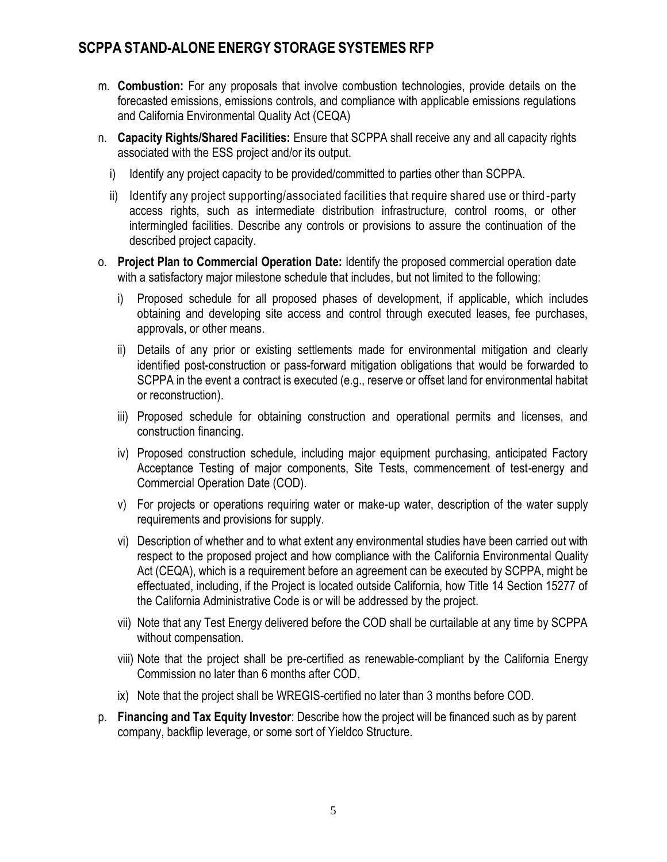- m. **Combustion:** For any proposals that involve combustion technologies, provide details on the forecasted emissions, emissions controls, and compliance with applicable emissions regulations and California Environmental Quality Act (CEQA)
- n. **Capacity Rights/Shared Facilities:** Ensure that SCPPA shall receive any and all capacity rights associated with the ESS project and/or its output.
	- i) Identify any project capacity to be provided/committed to parties other than SCPPA.
	- ii) Identify any project supporting/associated facilities that require shared use or third -party access rights, such as intermediate distribution infrastructure, control rooms, or other intermingled facilities. Describe any controls or provisions to assure the continuation of the described project capacity.
- o. **Project Plan to Commercial Operation Date:** Identify the proposed commercial operation date with a satisfactory major milestone schedule that includes, but not limited to the following:
	- i) Proposed schedule for all proposed phases of development, if applicable, which includes obtaining and developing site access and control through executed leases, fee purchases, approvals, or other means.
	- ii) Details of any prior or existing settlements made for environmental mitigation and clearly identified post-construction or pass-forward mitigation obligations that would be forwarded to SCPPA in the event a contract is executed (e.g., reserve or offset land for environmental habitat or reconstruction).
	- iii) Proposed schedule for obtaining construction and operational permits and licenses, and construction financing.
	- iv) Proposed construction schedule, including major equipment purchasing, anticipated Factory Acceptance Testing of major components, Site Tests, commencement of test-energy and Commercial Operation Date (COD).
	- v) For projects or operations requiring water or make-up water, description of the water supply requirements and provisions for supply.
	- vi) Description of whether and to what extent any environmental studies have been carried out with respect to the proposed project and how compliance with the California Environmental Quality Act (CEQA), which is a requirement before an agreement can be executed by SCPPA, might be effectuated, including, if the Project is located outside California, how Title 14 Section 15277 of the California Administrative Code is or will be addressed by the project.
	- vii) Note that any Test Energy delivered before the COD shall be curtailable at any time by SCPPA without compensation.
	- viii) Note that the project shall be pre-certified as renewable-compliant by the California Energy Commission no later than 6 months after COD.
	- ix) Note that the project shall be WREGIS-certified no later than 3 months before COD.
- p. **Financing and Tax Equity Investor**: Describe how the project will be financed such as by parent company, backflip leverage, or some sort of Yieldco Structure.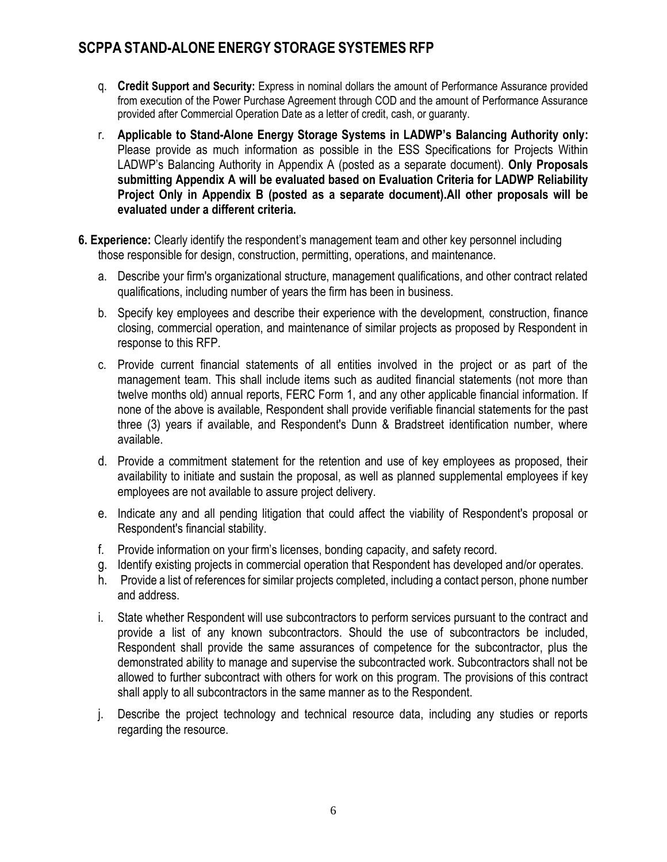- q. **Credit Support and Security:** Express in nominal dollars the amount of Performance Assurance provided from execution of the Power Purchase Agreement through COD and the amount of Performance Assurance provided after Commercial Operation Date as a letter of credit, cash, or guaranty.
- r. **Applicable to Stand-Alone Energy Storage Systems in LADWP's Balancing Authority only:**  Please provide as much information as possible in the ESS Specifications for Projects Within LADWP's Balancing Authority in Appendix A (posted as a separate document). **Only Proposals submitting Appendix A will be evaluated based on Evaluation Criteria for LADWP Reliability Project Only in Appendix B (posted as a separate document).All other proposals will be evaluated under a different criteria.**
- **6. Experience:** Clearly identify the respondent's management team and other key personnel including those responsible for design, construction, permitting, operations, and maintenance.
	- a. Describe your firm's organizational structure, management qualifications, and other contract related qualifications, including number of years the firm has been in business.
	- b. Specify key employees and describe their experience with the development, construction, finance closing, commercial operation, and maintenance of similar projects as proposed by Respondent in response to this RFP.
	- c. Provide current financial statements of all entities involved in the project or as part of the management team. This shall include items such as audited financial statements (not more than twelve months old) annual reports, FERC Form 1, and any other applicable financial information. If none of the above is available, Respondent shall provide verifiable financial statements for the past three (3) years if available, and Respondent's Dunn & Bradstreet identification number, where available.
	- d. Provide a commitment statement for the retention and use of key employees as proposed, their availability to initiate and sustain the proposal, as well as planned supplemental employees if key employees are not available to assure project delivery.
	- e. Indicate any and all pending litigation that could affect the viability of Respondent's proposal or Respondent's financial stability.
	- f. Provide information on your firm's licenses, bonding capacity, and safety record.
	- g. Identify existing projects in commercial operation that Respondent has developed and/or operates.
	- h. Provide a list of references for similar projects completed, including a contact person, phone number and address.
	- i. State whether Respondent will use subcontractors to perform services pursuant to the contract and provide a list of any known subcontractors. Should the use of subcontractors be included, Respondent shall provide the same assurances of competence for the subcontractor, plus the demonstrated ability to manage and supervise the subcontracted work. Subcontractors shall not be allowed to further subcontract with others for work on this program. The provisions of this contract shall apply to all subcontractors in the same manner as to the Respondent.
	- j. Describe the project technology and technical resource data, including any studies or reports regarding the resource.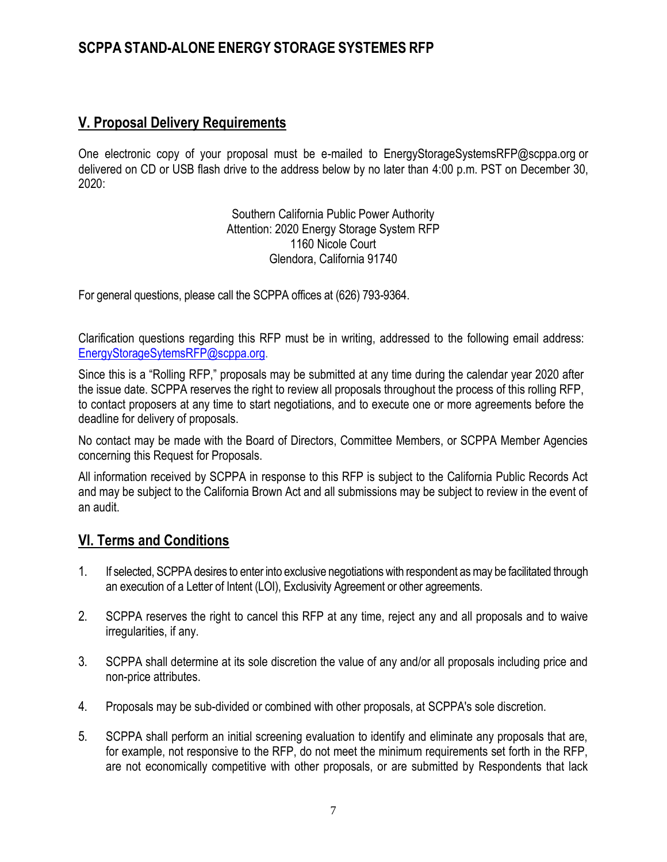#### **V. Proposal Delivery Requirements**

One electronic copy of your proposal must be e-mailed [to](mailto:to_knguyen@scppa.org) EnergyStorageSystemsRFP@scppa.org or delivered on CD or USB flash drive to the address below by no later than 4:00 p.m. PST on December 30, 2020:

> Southern California Public Power Authority Attention: 2020 Energy Storage System RFP 1160 Nicole Court Glendora, California 91740

For general questions, please call the SCPPA offices at (626) 793-9364.

Clarification questions regarding this RFP must be in writing, addressed to the following email address: [EnergyStorageSytemsRFP@scppa.org.](mailto:EnergyStorageSytemsRFP@scppa.org)

Since this is a "Rolling RFP," proposals may be submitted at any time during the calendar year 2020 after the issue date. SCPPA reserves the right to review all proposals throughout the process of this rolling RFP, to contact proposers at any time to start negotiations, and to execute one or more agreements before the deadline for delivery of proposals.

No contact may be made with the Board of Directors, Committee Members, or SCPPA Member Agencies concerning this Request for Proposals.

All information received by SCPPA in response to this RFP is subject to the California Public Records Act and may be subject to the California Brown Act and all submissions may be subject to review in the event of an audit.

#### **VI. Terms and Conditions**

- 1. If selected, SCPPA desires to enter into exclusive negotiations with respondent as may be facilitated through an execution of a Letter of Intent (LOI), Exclusivity Agreement or other agreements.
- 2. SCPPA reserves the right to cancel this RFP at any time, reject any and all proposals and to waive irregularities, if any.
- 3. SCPPA shall determine at its sole discretion the value of any and/or all proposals including price and non-price attributes.
- 4. Proposals may be sub-divided or combined with other proposals, at SCPPA's sole discretion.
- 5. SCPPA shall perform an initial screening evaluation to identify and eliminate any proposals that are, for example, not responsive to the RFP, do not meet the minimum requirements set forth in the RFP, are not economically competitive with other proposals, or are submitted by Respondents that lack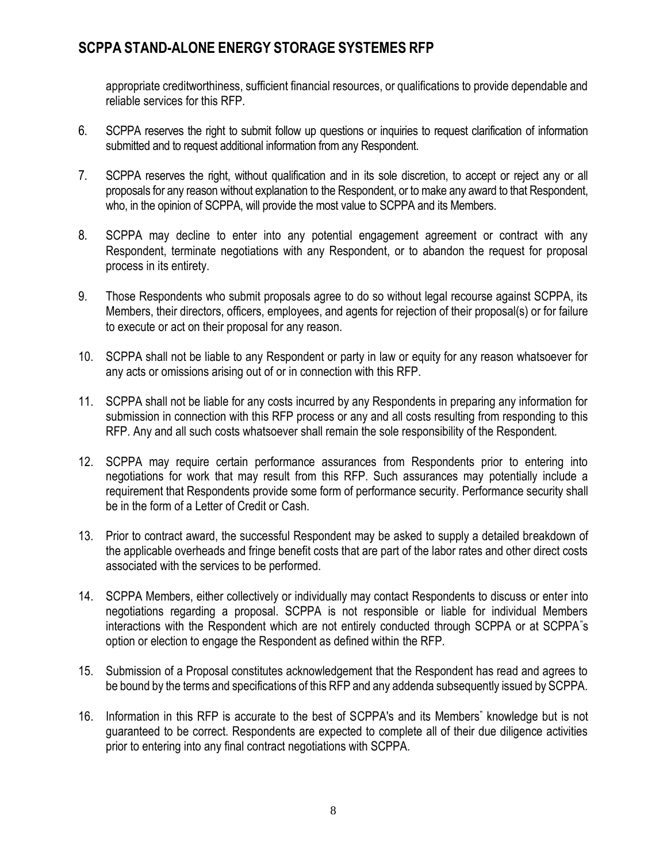appropriate creditworthiness, sufficient financial resources, or qualifications to provide dependable and reliable services for this RFP.

- 6. SCPPA reserves the right to submit follow up questions or inquiries to request clarification of information submitted and to request additional information from any Respondent.
- 7. SCPPA reserves the right, without qualification and in its sole discretion, to accept or reject any or all proposals for any reason without explanation to the Respondent, or to make any award to that Respondent, who, in the opinion of SCPPA, will provide the most value to SCPPA and its Members.
- 8. SCPPA may decline to enter into any potential engagement agreement or contract with any Respondent, terminate negotiations with any Respondent, or to abandon the request for proposal process in its entirety.
- 9. Those Respondents who submit proposals agree to do so without legal recourse against SCPPA, its Members, their directors, officers, employees, and agents for rejection of their proposal(s) or for failure to execute or act on their proposal for any reason.
- 10. SCPPA shall not be liable to any Respondent or party in law or equity for any reason whatsoever for any acts or omissions arising out of or in connection with this RFP.
- 11. SCPPA shall not be liable for any costs incurred by any Respondents in preparing any information for submission in connection with this RFP process or any and all costs resulting from responding to this RFP. Any and all such costs whatsoever shall remain the sole responsibility of the Respondent.
- 12. SCPPA may require certain performance assurances from Respondents prior to entering into negotiations for work that may result from this RFP. Such assurances may potentially include a requirement that Respondents provide some form of performance security. Performance security shall be in the form of a Letter of Credit or Cash.
- 13. Prior to contract award, the successful Respondent may be asked to supply a detailed breakdown of the applicable overheads and fringe benefit costs that are part of the labor rates and other direct costs associated with the services to be performed.
- 14. SCPPA Members, either collectively or individually may contact Respondents to discuss or enter into negotiations regarding a proposal. SCPPA is not responsible or liable for individual Members interactions with the Respondent which are not entirely conducted through SCPPA or at SCPPA"s option or election to engage the Respondent as defined within the RFP.
- 15. Submission of a Proposal constitutes acknowledgement that the Respondent has read and agrees to be bound by the terms and specifications of this RFP and any addenda subsequently issued by SCPPA.
- 16. Information in this RFP is accurate to the best of SCPPA's and its Members" knowledge but is not guaranteed to be correct. Respondents are expected to complete all of their due diligence activities prior to entering into any final contract negotiations with SCPPA.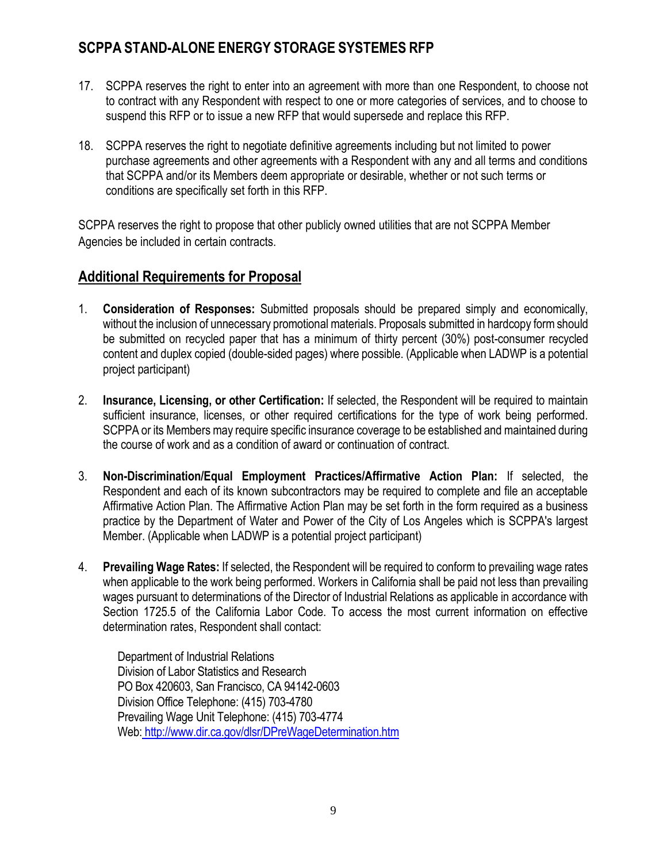- 17. SCPPA reserves the right to enter into an agreement with more than one Respondent, to choose not to contract with any Respondent with respect to one or more categories of services, and to choose to suspend this RFP or to issue a new RFP that would supersede and replace this RFP.
- 18. SCPPA reserves the right to negotiate definitive agreements including but not limited to power purchase agreements and other agreements with a Respondent with any and all terms and conditions that SCPPA and/or its Members deem appropriate or desirable, whether or not such terms or conditions are specifically set forth in this RFP.

SCPPA reserves the right to propose that other publicly owned utilities that are not SCPPA Member Agencies be included in certain contracts.

#### **Additional Requirements for Proposal**

- 1. **Consideration of Responses:** Submitted proposals should be prepared simply and economically, without the inclusion of unnecessary promotional materials. Proposals submitted in hardcopy form should be submitted on recycled paper that has a minimum of thirty percent (30%) post-consumer recycled content and duplex copied (double-sided pages) where possible. (Applicable when LADWP is a potential project participant)
- 2. **Insurance, Licensing, or other Certification:** If selected, the Respondent will be required to maintain sufficient insurance, licenses, or other required certifications for the type of work being performed. SCPPA or its Members may require specific insurance coverage to be established and maintained during the course of work and as a condition of award or continuation of contract.
- 3. **Non-Discrimination/Equal Employment Practices/Affirmative Action Plan:** If selected, the Respondent and each of its known subcontractors may be required to complete and file an acceptable Affirmative Action Plan. The Affirmative Action Plan may be set forth in the form required as a business practice by the Department of Water and Power of the City of Los Angeles which is SCPPA's largest Member. (Applicable when LADWP is a potential project participant)
- 4. **Prevailing Wage Rates:** If selected, the Respondent will be required to conform to prevailing wage rates when applicable to the work being performed. Workers in California shall be paid not less than prevailing wages pursuant to determinations of the Director of Industrial Relations as applicable in accordance with Section 1725.5 of the California Labor Code. To access the most current information on effective determination rates, Respondent shall contact:

Department of Industrial Relations Division of Labor Statistics and Research PO Box 420603, San Francisco, CA 94142-0603 Division Office Telephone: (415) 703-4780 Prevailing Wage Unit Telephone: (415) 703-4774 Web: <http://www.dir.ca.gov/dlsr/DPreWageDetermination.htm>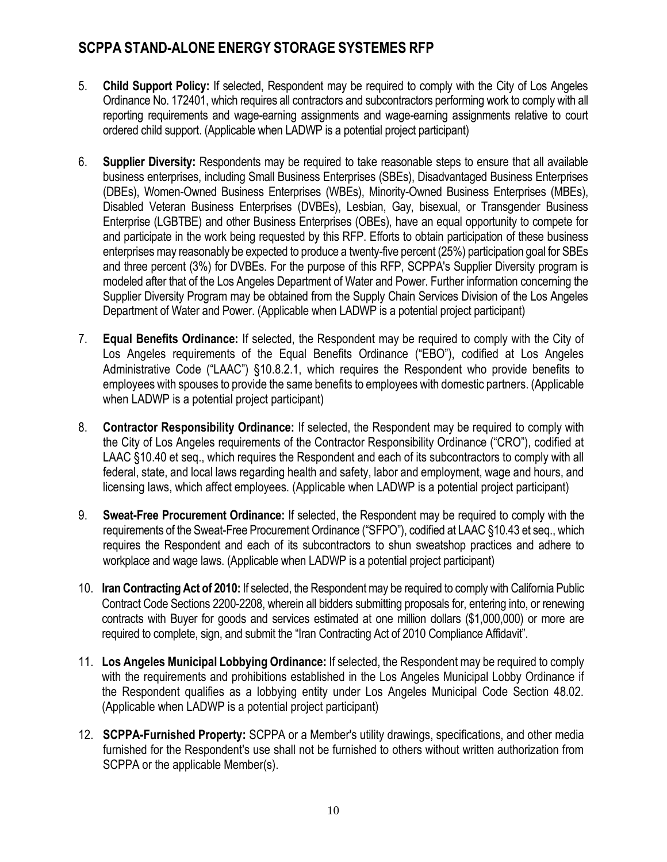- 5. **Child Support Policy:** If selected, Respondent may be required to comply with the City of Los Angeles Ordinance No. 172401, which requires all contractors and subcontractors performing work to comply with all reporting requirements and wage-earning assignments and wage-earning assignments relative to court ordered child support. (Applicable when LADWP is a potential project participant)
- 6. **Supplier Diversity:** Respondents may be required to take reasonable steps to ensure that all available business enterprises, including Small Business Enterprises (SBEs), Disadvantaged Business Enterprises (DBEs), Women-Owned Business Enterprises (WBEs), Minority-Owned Business Enterprises (MBEs), Disabled Veteran Business Enterprises (DVBEs), Lesbian, Gay, bisexual, or Transgender Business Enterprise (LGBTBE) and other Business Enterprises (OBEs), have an equal opportunity to compete for and participate in the work being requested by this RFP. Efforts to obtain participation of these business enterprises may reasonably be expected to produce a twenty-five percent (25%) participation goal for SBEs and three percent (3%) for DVBEs. For the purpose of this RFP, SCPPA's Supplier Diversity program is modeled after that of the Los Angeles Department of Water and Power. Further information concerning the Supplier Diversity Program may be obtained from the Supply Chain Services Division of the Los Angeles Department of Water and Power. (Applicable when LADWP is a potential project participant)
- 7. **Equal Benefits Ordinance:** If selected, the Respondent may be required to comply with the City of Los Angeles requirements of the Equal Benefits Ordinance ("EBO"), codified at Los Angeles Administrative Code ("LAAC") §10.8.2.1, which requires the Respondent who provide benefits to employees with spouses to provide the same benefits to employees with domestic partners. (Applicable when LADWP is a potential project participant)
- 8. **Contractor Responsibility Ordinance:** If selected, the Respondent may be required to comply with the City of Los Angeles requirements of the Contractor Responsibility Ordinance ("CRO"), codified at LAAC §10.40 et seq., which requires the Respondent and each of its subcontractors to comply with all federal, state, and local laws regarding health and safety, labor and employment, wage and hours, and licensing laws, which affect employees. (Applicable when LADWP is a potential project participant)
- 9. **Sweat-Free Procurement Ordinance:** If selected, the Respondent may be required to comply with the requirements of the Sweat-Free Procurement Ordinance ("SFPO"), codified at LAAC §10.43 et seq., which requires the Respondent and each of its subcontractors to shun sweatshop practices and adhere to workplace and wage laws. (Applicable when LADWP is a potential project participant)
- 10. **Iran Contracting Act of 2010:** If selected, the Respondent may be required to comply with California Public Contract Code Sections 2200-2208, wherein all bidders submitting proposals for, entering into, or renewing contracts with Buyer for goods and services estimated at one million dollars (\$1,000,000) or more are required to complete, sign, and submit the "Iran Contracting Act of 2010 Compliance Affidavit".
- 11. **Los Angeles Municipal Lobbying Ordinance:** If selected, the Respondent may be required to comply with the requirements and prohibitions established in the Los Angeles Municipal Lobby Ordinance if the Respondent qualifies as a lobbying entity under Los Angeles Municipal Code Section 48.02. (Applicable when LADWP is a potential project participant)
- 12. **SCPPA-Furnished Property:** SCPPA or a Member's utility drawings, specifications, and other media furnished for the Respondent's use shall not be furnished to others without written authorization from SCPPA or the applicable Member(s).